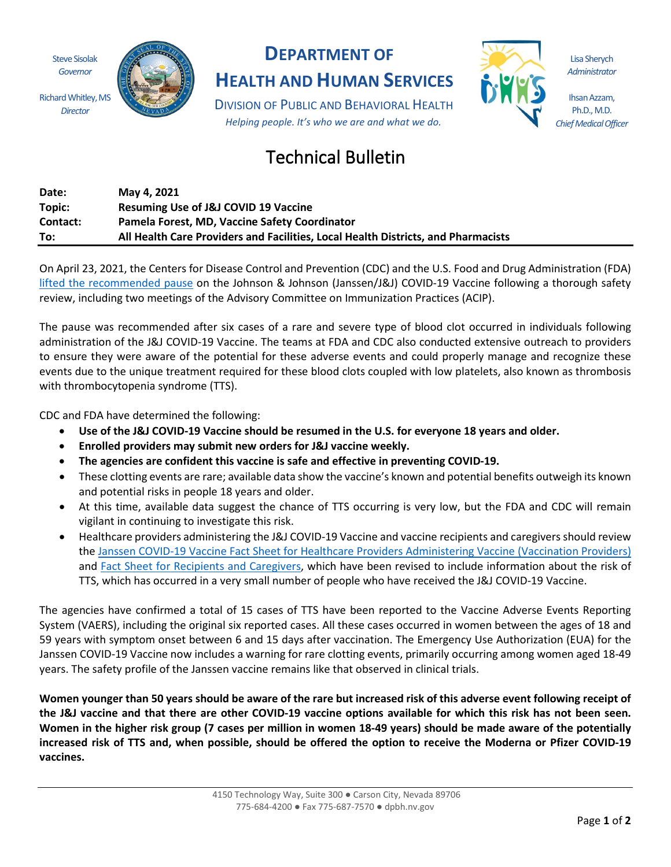Steve Sisolak *Governor*

*Director*



## **DEPARTMENT OF**

**HEALTH AND HUMAN SERVICES**

DIVISION OF PUBLIC AND BEHAVIORAL HEALTH *Helping people. It's who we are and what we do.*



Lisa Sherych *Administrator*

Ihsan Azzam, Ph.D., M.D. *Chief Medical Officer*

## Technical Bulletin

| Date:    | May 4, 2021                                                                       |
|----------|-----------------------------------------------------------------------------------|
| Topic:   | <b>Resuming Use of J&amp;J COVID 19 Vaccine</b>                                   |
| Contact: | Pamela Forest, MD, Vaccine Safety Coordinator                                     |
| To:      | All Health Care Providers and Facilities, Local Health Districts, and Pharmacists |

On April 23, 2021, the Centers for Disease Control and Prevention (CDC) and the U.S. Food and Drug Administration (FDA) [lifted the recommended pause](https://www.fda.gov/media/147865/download) on the Johnson & Johnson (Janssen/J&J) COVID-19 Vaccine following a thorough safety review, including two meetings of the Advisory Committee on Immunization Practices (ACIP).

The pause was recommended after six cases of a rare and severe type of blood clot occurred in individuals following administration of the J&J COVID-19 Vaccine. The teams at FDA and CDC also conducted extensive outreach to providers to ensure they were aware of the potential for these adverse events and could properly manage and recognize these events due to the unique treatment required for these blood clots coupled with low platelets, also known as thrombosis with thrombocytopenia syndrome (TTS).

CDC and FDA have determined the following:

- **Use of the J&J COVID-19 Vaccine should be resumed in the U.S. for everyone 18 years and older.**
- **Enrolled providers may submit new orders for J&J vaccine weekly.**
- **The agencies are confident this vaccine is safe and effective in preventing COVID-19.**
- These clotting events are rare; available data show the vaccine's known and potential benefits outweigh its known and potential risks in people 18 years and older.
- At this time, available data suggest the chance of TTS occurring is very low, but the FDA and CDC will remain vigilant in continuing to investigate this risk.
- Healthcare providers administering the J&J COVID-19 Vaccine and vaccine recipients and caregivers should review the Janssen COVID-[19 Vaccine Fact Sheet for Healthcare Providers Administering Vaccine](https://www.fda.gov/media/146304/download) (Vaccination Providers) and [Fact Sheet for Recipients and Caregivers](https://www.fda.gov/media/146305/download), which have been revised to include information about the risk of TTS, which has occurred in a very small number of people who have received the J&J COVID-19 Vaccine.

The agencies have confirmed a total of 15 cases of TTS have been reported to the Vaccine Adverse Events Reporting System (VAERS), including the original six reported cases. All these cases occurred in women between the ages of 18 and 59 years with symptom onset between 6 and 15 days after vaccination. The Emergency Use Authorization (EUA) for the Janssen COVID-19 Vaccine now includes a warning for rare clotting events, primarily occurring among women aged 18-49 years. The safety profile of the Janssen vaccine remains like that observed in clinical trials.

**Women younger than 50 years should be aware of the rare but increased risk of this adverse event following receipt of the J&J vaccine and that there are other COVID-19 vaccine options available for which this risk has not been seen. Women in the higher risk group (7 cases per million in women 18-49 years) should be made aware of the potentially increased risk of TTS and, when possible, should be offered the option to receive the Moderna or Pfizer COVID-19 vaccines.**